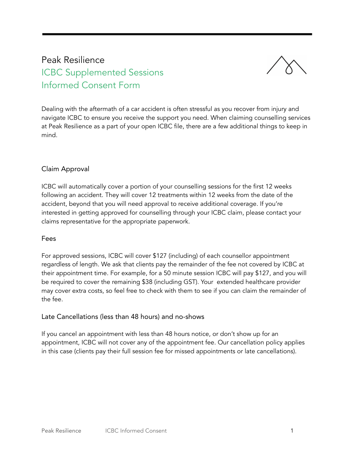# Peak Resilience ICBC Supplemented Sessions Informed Consent Form



Dealing with the aftermath of a car accident is often stressful as you recover from injury and navigate ICBC to ensure you receive the support you need. When claiming counselling services at Peak Resilience as a part of your open ICBC file, there are a few additional things to keep in mind.

### Claim Approval

ICBC will automatically cover a portion of your counselling sessions for the first 12 weeks following an accident. They will cover 12 treatments within 12 weeks from the date of the accident, beyond that you will need approval to receive additional coverage. If you're interested in getting approved for counselling through your ICBC claim, please contact your claims representative for the appropriate paperwork.

#### Fees

For approved sessions, ICBC will cover \$127 (including) of each counsellor appointment regardless of length. We ask that clients pay the remainder of the fee not covered by ICBC at their appointment time. For example, for a 50 minute session ICBC will pay \$127, and you will be required to cover the remaining \$38 (including GST). Your extended healthcare provider may cover extra costs, so feel free to check with them to see if you can claim the remainder of the fee.

#### Late Cancellations (less than 48 hours) and no-shows

If you cancel an appointment with less than 48 hours notice, or don't show up for an appointment, ICBC will not cover any of the appointment fee. Our cancellation policy applies in this case (clients pay their full session fee for missed appointments or late cancellations).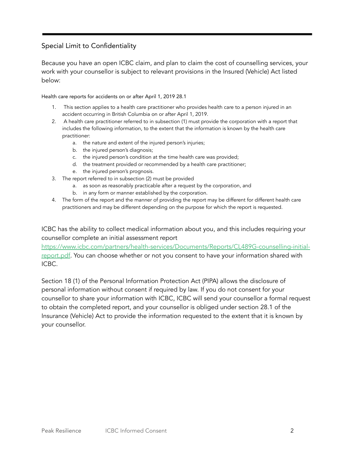## Special Limit to Confidentiality

Because you have an open ICBC claim, and plan to claim the cost of counselling services, your work with your counsellor is subject to relevant provisions in the Insured (Vehicle) Act listed below:

#### Health care reports for accidents on or after April 1, 2019 28.1

- 1. This section applies to a health care practitioner who provides health care to a person injured in an accident occurring in British Columbia on or after April 1, 2019.
- 2. A health care practitioner referred to in subsection (1) must provide the corporation with a report that includes the following information, to the extent that the information is known by the health care practitioner:
	- a. the nature and extent of the injured person's injuries;
	- b. the injured person's diagnosis;
	- c. the injured person's condition at the time health care was provided;
	- d. the treatment provided or recommended by a health care practitioner;
	- e. the injured person's prognosis.
- 3. The report referred to in subsection (2) must be provided
	- a. as soon as reasonably practicable after a request by the corporation, and
	- b. in any form or manner established by the corporation.
- 4. The form of the report and the manner of providing the report may be different for different health care practitioners and may be different depending on the purpose for which the report is requested.

ICBC has the ability to collect medical information about you, and this includes requiring your counsellor complete an initial assessment report

[https://www.icbc.com/partners/health-services/Documents/Reports/CL489G-counselling-initial](https://www.icbc.com/partners/health-services/Documents/Reports/CL489G-counselling-initial-report.pdf)[report.pdf.](https://www.icbc.com/partners/health-services/Documents/Reports/CL489G-counselling-initial-report.pdf) You can choose whether or not you consent to have your information shared with ICBC.

Section 18 (1) of the Personal Information Protection Act (PIPA) allows the disclosure of personal information without consent if required by law. If you do not consent for your counsellor to share your information with ICBC, ICBC will send your counsellor a formal request to obtain the completed report, and your counsellor is obliged under section 28.1 of the Insurance (Vehicle) Act to provide the information requested to the extent that it is known by your counsellor.